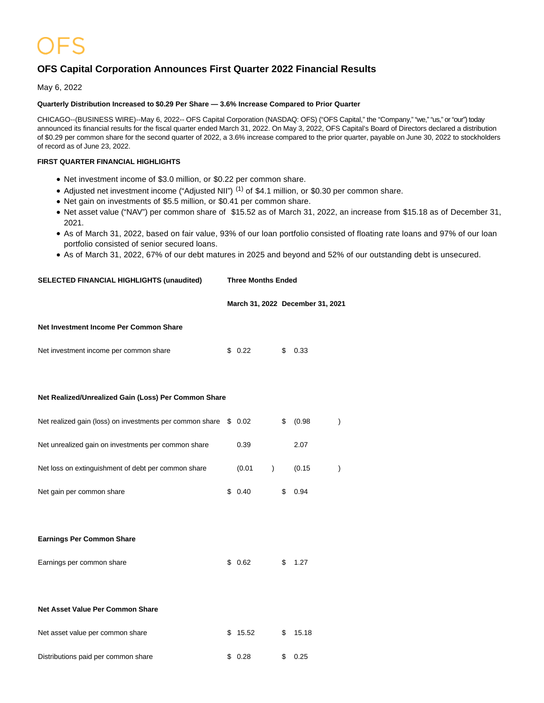# **OFS Capital Corporation Announces First Quarter 2022 Financial Results**

May 6, 2022

# **Quarterly Distribution Increased to \$0.29 Per Share — 3.6% Increase Compared to Prior Quarter**

CHICAGO--(BUSINESS WIRE)--May 6, 2022-- OFS Capital Corporation (NASDAQ: OFS) ("OFS Capital," the "Company," "we," "us," or "our") today announced its financial results for the fiscal quarter ended March 31, 2022. On May 3, 2022, OFS Capital's Board of Directors declared a distribution of \$0.29 per common share for the second quarter of 2022, a 3.6% increase compared to the prior quarter, payable on June 30, 2022 to stockholders of record as of June 23, 2022.

# **FIRST QUARTER FINANCIAL HIGHLIGHTS**

- Net investment income of \$3.0 million, or \$0.22 per common share.
- Adjusted net investment income ("Adjusted NII")<sup>(1)</sup> of \$4.1 million, or \$0.30 per common share.
- Net gain on investments of \$5.5 million, or \$0.41 per common share.
- Net asset value ("NAV") per common share of \$15.52 as of March 31, 2022, an increase from \$15.18 as of December 31, 2021.
- As of March 31, 2022, based on fair value, 93% of our loan portfolio consisted of floating rate loans and 97% of our loan portfolio consisted of senior secured loans.
- As of March 31, 2022, 67% of our debt matures in 2025 and beyond and 52% of our outstanding debt is unsecured.

| <b>SELECTED FINANCIAL HIGHLIGHTS (unaudited)</b> | <b>Three Months Ended</b> |
|--------------------------------------------------|---------------------------|
|                                                  |                           |

**March 31, 2022 December 31, 2021**

# **Net Investment Income Per Common Share**

| Net investment income per common share | \$0.22 | \$0.33 |  |
|----------------------------------------|--------|--------|--|
|                                        |        |        |  |

### **Net Realized/Unrealized Gain (Loss) Per Common Share**

| Net realized gain (loss) on investments per common share \$ 0.02 |        |  | (0.98) |  |
|------------------------------------------------------------------|--------|--|--------|--|
| Net unrealized gain on investments per common share              | 0.39   |  | 2.07   |  |
| Net loss on extinguishment of debt per common share              | (0.01) |  | (0.15) |  |
| Net gain per common share                                        | 0.40   |  | 0.94   |  |

**Earnings Per Common Share**

| \$0.62 |         |
|--------|---------|
|        | \$ 1.27 |

### **Net Asset Value Per Common Share**

| Net asset value per common share    | \$15.52 | \$ 15.18 |
|-------------------------------------|---------|----------|
| Distributions paid per common share | \$ 0.28 | \$ 0.25  |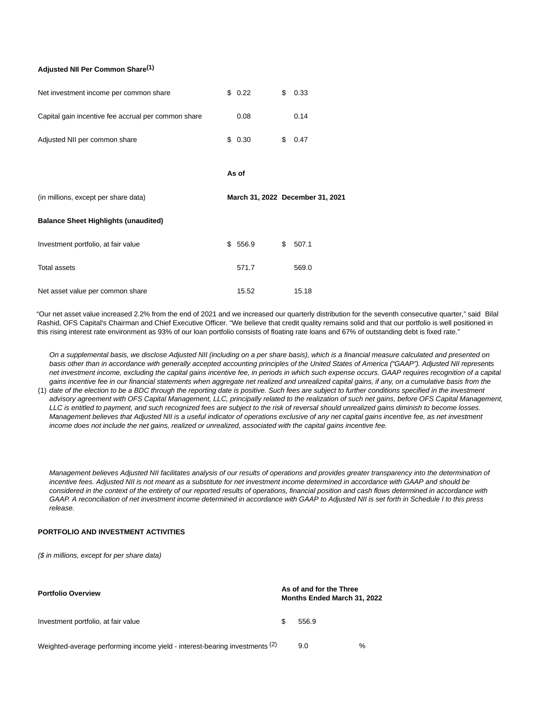# **Adjusted NII Per Common Share(1)**

| Net investment income per common share              | \$0.22  | \$<br>0.33                       |
|-----------------------------------------------------|---------|----------------------------------|
| Capital gain incentive fee accrual per common share | 0.08    | 0.14                             |
| Adjusted NII per common share                       | \$0.30  | \$<br>0.47                       |
|                                                     | As of   |                                  |
| (in millions, except per share data)                |         | March 31, 2022 December 31, 2021 |
| <b>Balance Sheet Highlights (unaudited)</b>         |         |                                  |
| Investment portfolio, at fair value                 | \$556.9 | \$<br>507.1                      |
| <b>Total assets</b>                                 | 571.7   | 569.0                            |
|                                                     |         |                                  |

"Our net asset value increased 2.2% from the end of 2021 and we increased our quarterly distribution for the seventh consecutive quarter," said Bilal Rashid, OFS Capital's Chairman and Chief Executive Officer. "We believe that credit quality remains solid and that our portfolio is well positioned in this rising interest rate environment as 93% of our loan portfolio consists of floating rate loans and 67% of outstanding debt is fixed rate."

On a supplemental basis, we disclose Adjusted NII (including on a per share basis), which is a financial measure calculated and presented on basis other than in accordance with generally accepted accounting principles of the United States of America ("GAAP"). Adjusted NII represents net investment income, excluding the capital gains incentive fee, in periods in which such expense occurs. GAAP requires recognition of a capital gains incentive fee in our financial statements when aggregate net realized and unrealized capital gains, if any, on a cumulative basis from the

(1) date of the election to be a BDC through the reporting date is positive. Such fees are subject to further conditions specified in the investment advisory agreement with OFS Capital Management, LLC, principally related to the realization of such net gains, before OFS Capital Management, LLC is entitled to payment, and such recognized fees are subject to the risk of reversal should unrealized gains diminish to become losses. Management believes that Adjusted NII is a useful indicator of operations exclusive of any net capital gains incentive fee, as net investment income does not include the net gains, realized or unrealized, associated with the capital gains incentive fee.

Management believes Adjusted NII facilitates analysis of our results of operations and provides greater transparency into the determination of incentive fees. Adjusted NII is not meant as a substitute for net investment income determined in accordance with GAAP and should be considered in the context of the entirety of our reported results of operations, financial position and cash flows determined in accordance with GAAP. A reconciliation of net investment income determined in accordance with GAAP to Adjusted NII is set forth in Schedule I to this press release.

### **PORTFOLIO AND INVESTMENT ACTIVITIES**

(\$ in millions, except for per share data)

| <b>Portfolio Overview</b>                                                   |  | As of and for the Three<br><b>Months Ended March 31, 2022</b> |   |  |  |
|-----------------------------------------------------------------------------|--|---------------------------------------------------------------|---|--|--|
| Investment portfolio, at fair value                                         |  | 556.9                                                         |   |  |  |
| Weighted-average performing income yield - interest-bearing investments (2) |  | 9.0                                                           | % |  |  |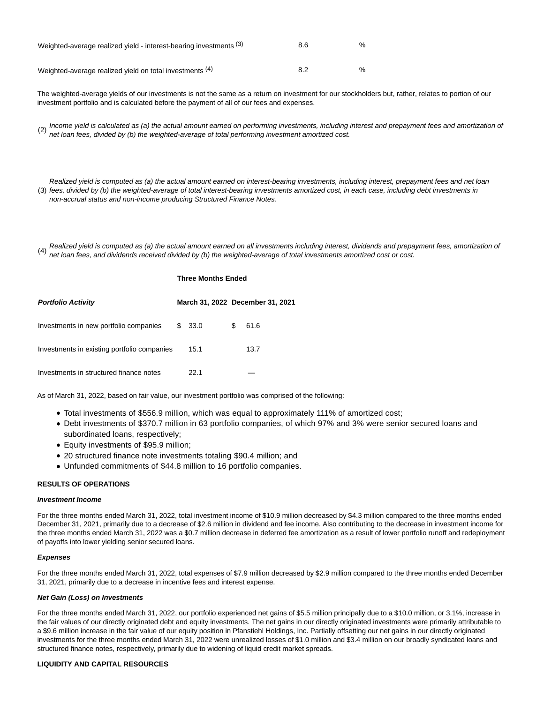| Weighted-average realized yield - interest-bearing investments (3) | 8.6 | %             |
|--------------------------------------------------------------------|-----|---------------|
| Weighted-average realized yield on total investments (4)           | 8.2 | $\frac{1}{2}$ |

The weighted-average yields of our investments is not the same as a return on investment for our stockholders but, rather, relates to portion of our investment portfolio and is calculated before the payment of all of our fees and expenses.

(2) Income yield is calculated as (a) the actual amount earned on performing investments, including interest and prepayment fees and amortization of net loan fees, divided by (b) the weighted-average of total performing investment amortized cost.

(3) fees, divided by (b) the weighted-average of total interest-bearing investments amortized cost, in each case, including debt investments in Realized yield is computed as (a) the actual amount earned on interest-bearing investments, including interest, prepayment fees and net loan non-accrual status and non-income producing Structured Finance Notes.

(4) Realized yield is computed as (a) the actual amount earned on all investments including interest, dividends and prepayment fees, amortization of net loan fees, and dividends received divided by (b) the weighted-average of total investments amortized cost or cost.

|                                             | <b>Three Months Ended</b> |                                  |
|---------------------------------------------|---------------------------|----------------------------------|
| <b>Portfolio Activity</b>                   |                           | March 31, 2022 December 31, 2021 |
| Investments in new portfolio companies      | \$ 33.0                   | \$<br>61.6                       |
| Investments in existing portfolio companies | 15.1                      | 13.7                             |
| Investments in structured finance notes     | 22.1                      |                                  |

As of March 31, 2022, based on fair value, our investment portfolio was comprised of the following:

- Total investments of \$556.9 million, which was equal to approximately 111% of amortized cost;
- Debt investments of \$370.7 million in 63 portfolio companies, of which 97% and 3% were senior secured loans and subordinated loans, respectively;
- Equity investments of \$95.9 million;
- 20 structured finance note investments totaling \$90.4 million; and
- Unfunded commitments of \$44.8 million to 16 portfolio companies.

#### **RESULTS OF OPERATIONS**

#### **Investment Income**

For the three months ended March 31, 2022, total investment income of \$10.9 million decreased by \$4.3 million compared to the three months ended December 31, 2021, primarily due to a decrease of \$2.6 million in dividend and fee income. Also contributing to the decrease in investment income for the three months ended March 31, 2022 was a \$0.7 million decrease in deferred fee amortization as a result of lower portfolio runoff and redeployment of payoffs into lower yielding senior secured loans.

#### **Expenses**

For the three months ended March 31, 2022, total expenses of \$7.9 million decreased by \$2.9 million compared to the three months ended December 31, 2021, primarily due to a decrease in incentive fees and interest expense.

#### **Net Gain (Loss) on Investments**

For the three months ended March 31, 2022, our portfolio experienced net gains of \$5.5 million principally due to a \$10.0 million, or 3.1%, increase in the fair values of our directly originated debt and equity investments. The net gains in our directly originated investments were primarily attributable to a \$9.6 million increase in the fair value of our equity position in Pfanstiehl Holdings, Inc. Partially offsetting our net gains in our directly originated investments for the three months ended March 31, 2022 were unrealized losses of \$1.0 million and \$3.4 million on our broadly syndicated loans and structured finance notes, respectively, primarily due to widening of liquid credit market spreads.

#### **LIQUIDITY AND CAPITAL RESOURCES**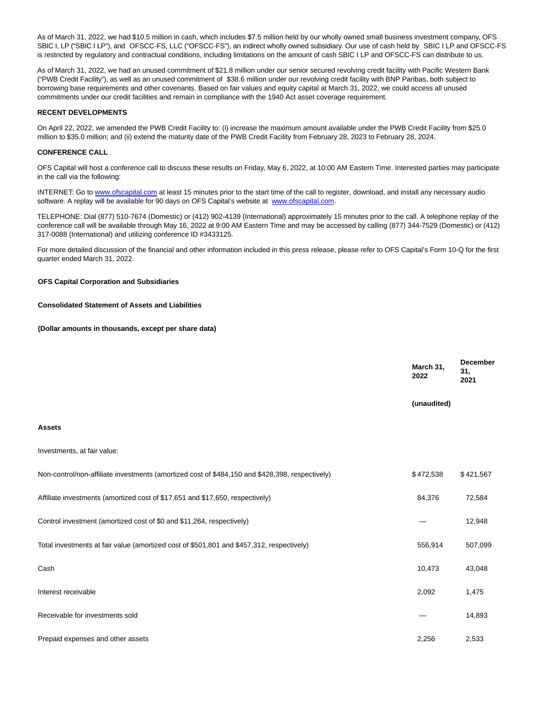As of March 31, 2022, we had \$10.5 million in cash, which includes \$7.5 million held by our wholly owned small business investment company, OFS SBIC I, LP ("SBIC I LP"), and OFSCC-FS, LLC ("OFSCC-FS"), an indirect wholly owned subsidiary. Our use of cash held by SBIC I LP and OFSCC-FS is restricted by regulatory and contractual conditions, including limitations on the amount of cash SBIC I LP and OFSCC-FS can distribute to us.

As of March 31, 2022, we had an unused commitment of \$21.8 million under our senior secured revolving credit facility with Pacific Western Bank ("PWB Credit Facility"), as well as an unused commitment of \$38.6 million under our revolving credit facility with BNP Paribas, both subject to borrowing base requirements and other covenants. Based on fair values and equity capital at March 31, 2022, we could access all unused commitments under our credit facilities and remain in compliance with the 1940 Act asset coverage requirement.

### **RECENT DEVELOPMENTS**

On April 22, 2022, we amended the PWB Credit Facility to: (i) increase the maximum amount available under the PWB Credit Facility from \$25.0 million to \$35.0 million; and (ii) extend the maturity date of the PWB Credit Facility from February 28, 2023 to February 28, 2024.

#### **CONFERENCE CALL**

OFS Capital will host a conference call to discuss these results on Friday, May 6, 2022, at 10:00 AM Eastern Time. Interested parties may participate in the call via the following:

INTERNET: Go to [www.ofscapital.com a](https://cts.businesswire.com/ct/CT?id=smartlink&url=http%3A%2F%2Fwww.ofscapital.com&esheet=52710276&newsitemid=20220506005065&lan=en-US&anchor=www.ofscapital.com&index=1&md5=b3c3c60d22057daf97985530a73d2f7a)t least 15 minutes prior to the start time of the call to register, download, and install any necessary audio software. A replay will be available for 90 days on OFS Capital's website at [www.ofscapital.com.](https://cts.businesswire.com/ct/CT?id=smartlink&url=http%3A%2F%2Fwww.ofscapital.com&esheet=52710276&newsitemid=20220506005065&lan=en-US&anchor=www.ofscapital.com&index=2&md5=cac06e100ec582562b86d4c4e9f7f0a2)

TELEPHONE: Dial (877) 510-7674 (Domestic) or (412) 902-4139 (International) approximately 15 minutes prior to the call. A telephone replay of the conference call will be available through May 16, 2022 at 9:00 AM Eastern Time and may be accessed by calling (877) 344-7529 (Domestic) or (412) 317-0088 (International) and utilizing conference ID #3433125.

For more detailed discussion of the financial and other information included in this press release, please refer to OFS Capital's Form 10-Q for the first quarter ended March 31, 2022.

#### **OFS Capital Corporation and Subsidiaries**

#### **Consolidated Statement of Assets and Liabilities**

**(Dollar amounts in thousands, except per share data)**

|                                                                                                 | March 31,<br>2022 | <b>December</b><br>31,<br>2021 |
|-------------------------------------------------------------------------------------------------|-------------------|--------------------------------|
|                                                                                                 | (unaudited)       |                                |
| <b>Assets</b>                                                                                   |                   |                                |
| Investments, at fair value:                                                                     |                   |                                |
| Non-control/non-affiliate investments (amortized cost of \$484,150 and \$428,398, respectively) | \$472,538         | \$421,567                      |
| Affiliate investments (amortized cost of \$17,651 and \$17,650, respectively)                   | 84,376            | 72,584                         |
| Control investment (amortized cost of \$0 and \$11,264, respectively)                           |                   | 12,948                         |
| Total investments at fair value (amortized cost of \$501,801 and \$457,312, respectively)       | 556,914           | 507,099                        |
| Cash                                                                                            | 10,473            | 43,048                         |
| Interest receivable                                                                             | 2,092             | 1,475                          |
| Receivable for investments sold                                                                 |                   | 14,893                         |
| Prepaid expenses and other assets                                                               | 2,256             | 2,533                          |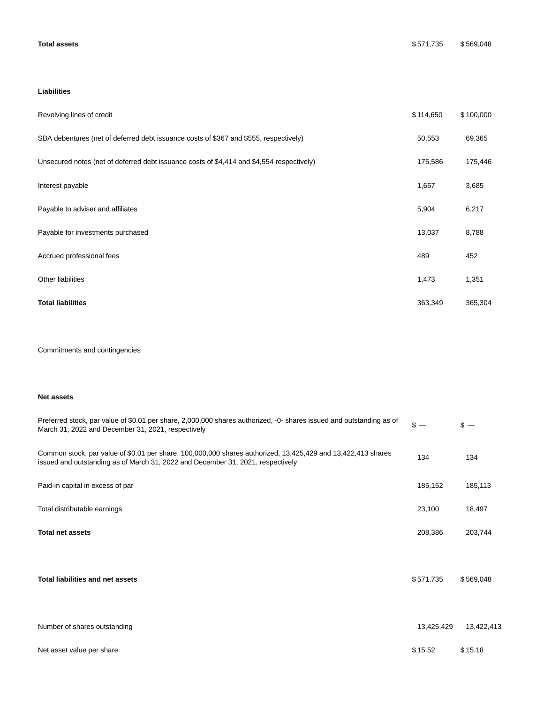# **Liabilities**

| Revolving lines of credit                                                                 | \$114,650 | \$100,000 |
|-------------------------------------------------------------------------------------------|-----------|-----------|
| SBA debentures (net of deferred debt issuance costs of \$367 and \$555, respectively)     | 50,553    | 69,365    |
| Unsecured notes (net of deferred debt issuance costs of \$4,414 and \$4,554 respectively) | 175,586   | 175,446   |
| Interest payable                                                                          | 1,657     | 3,685     |
| Payable to adviser and affiliates                                                         | 5,904     | 6,217     |
| Payable for investments purchased                                                         | 13,037    | 8,788     |
| Accrued professional fees                                                                 | 489       | 452       |
| Other liabilities                                                                         | 1,473     | 1,351     |
| <b>Total liabilities</b>                                                                  | 363,349   | 365,304   |

Commitments and contingencies

# **Net assets**

| Preferred stock, par value of \$0.01 per share, 2,000,000 shares authorized, -0- shares issued and outstanding as of<br>March 31, 2022 and December 31, 2021, respectively                      | $s -$      | $s -$      |
|-------------------------------------------------------------------------------------------------------------------------------------------------------------------------------------------------|------------|------------|
| Common stock, par value of \$0.01 per share, 100,000,000 shares authorized, 13,425,429 and 13,422,413 shares<br>issued and outstanding as of March 31, 2022 and December 31, 2021, respectively | 134        | 134        |
| Paid-in capital in excess of par                                                                                                                                                                | 185,152    | 185,113    |
| Total distributable earnings                                                                                                                                                                    | 23,100     | 18,497     |
| <b>Total net assets</b>                                                                                                                                                                         | 208,386    | 203,744    |
| <b>Total liabilities and net assets</b>                                                                                                                                                         | \$571,735  | \$569,048  |
| Number of shares outstanding                                                                                                                                                                    | 13,425,429 | 13,422,413 |
| Net asset value per share                                                                                                                                                                       | \$15.52    | \$15.18    |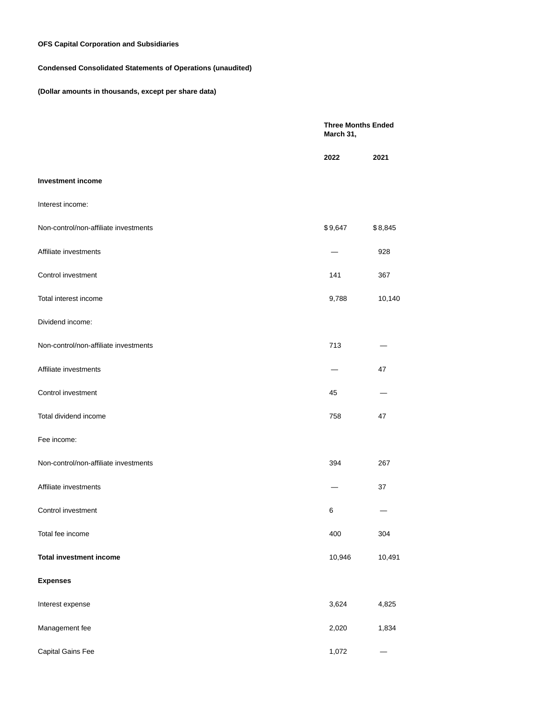# **OFS Capital Corporation and Subsidiaries**

# **Condensed Consolidated Statements of Operations (unaudited)**

# **(Dollar amounts in thousands, except per share data)**

|                                       | March 31, | <b>Three Months Ended</b> |  |
|---------------------------------------|-----------|---------------------------|--|
|                                       | 2022      | 2021                      |  |
| <b>Investment income</b>              |           |                           |  |
| Interest income:                      |           |                           |  |
| Non-control/non-affiliate investments | \$9,647   | \$8,845                   |  |
| Affiliate investments                 |           | 928                       |  |
| Control investment                    | 141       | 367                       |  |
| Total interest income                 | 9,788     | 10,140                    |  |
| Dividend income:                      |           |                           |  |
| Non-control/non-affiliate investments | 713       |                           |  |
| Affiliate investments                 |           | 47                        |  |
| Control investment                    | 45        |                           |  |
| Total dividend income                 | 758       | 47                        |  |
| Fee income:                           |           |                           |  |
| Non-control/non-affiliate investments | 394       | 267                       |  |
| Affiliate investments                 |           | 37                        |  |
| Control investment                    | 6         |                           |  |
| Total fee income                      | 400       | 304                       |  |
| <b>Total investment income</b>        | 10,946    | 10,491                    |  |
| <b>Expenses</b>                       |           |                           |  |
| Interest expense                      | 3,624     | 4,825                     |  |
| Management fee                        | 2,020     | 1,834                     |  |
| Capital Gains Fee                     | 1,072     |                           |  |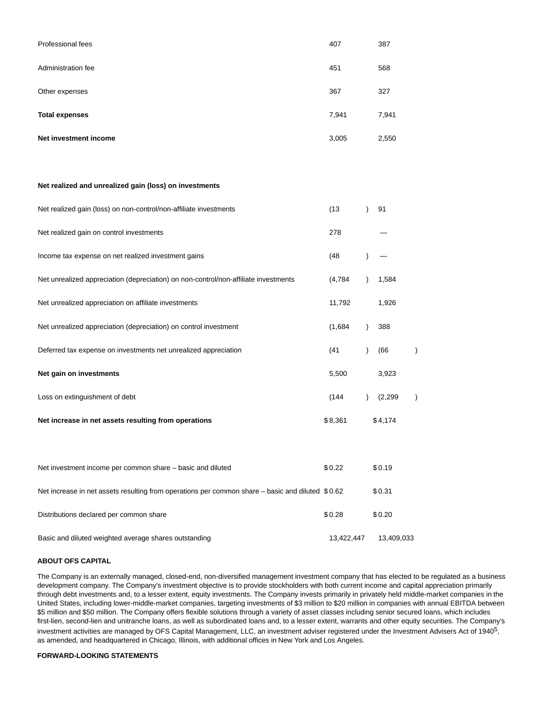| Professional fees     | 407   | 387   |
|-----------------------|-------|-------|
| Administration fee    | 451   | 568   |
| Other expenses        | 367   | 327   |
| <b>Total expenses</b> | 7,941 | 7,941 |
| Net investment income | 3,005 | 2,550 |

#### **Net realized and unrealized gain (loss) on investments**

| Net realized gain (loss) on non-control/non-affiliate investments                                | (13)       | 91         |  |
|--------------------------------------------------------------------------------------------------|------------|------------|--|
| Net realized gain on control investments                                                         | 278        |            |  |
| Income tax expense on net realized investment gains                                              | (48)       |            |  |
| Net unrealized appreciation (depreciation) on non-control/non-affiliate investments              | (4,784)    | 1,584      |  |
| Net unrealized appreciation on affiliate investments                                             | 11,792     | 1,926      |  |
| Net unrealized appreciation (depreciation) on control investment                                 | (1,684)    | 388        |  |
| Deferred tax expense on investments net unrealized appreciation                                  | (41)       | (66)       |  |
| Net gain on investments                                                                          | 5,500      | 3,923      |  |
| Loss on extinguishment of debt                                                                   | (144)      | (2,299)    |  |
| Net increase in net assets resulting from operations                                             | \$8,361    | \$4,174    |  |
|                                                                                                  |            |            |  |
| Net investment income per common share - basic and diluted                                       | \$0.22     | \$0.19     |  |
| Net increase in net assets resulting from operations per common share – basic and diluted \$0.62 |            | \$0.31     |  |
| Distributions declared per common share                                                          | \$0.28     | \$0.20     |  |
| Basic and diluted weighted average shares outstanding                                            | 13,422,447 | 13,409,033 |  |

#### **ABOUT OFS CAPITAL**

The Company is an externally managed, closed-end, non-diversified management investment company that has elected to be regulated as a business development company. The Company's investment objective is to provide stockholders with both current income and capital appreciation primarily through debt investments and, to a lesser extent, equity investments. The Company invests primarily in privately held middle-market companies in the United States, including lower-middle-market companies, targeting investments of \$3 million to \$20 million in companies with annual EBITDA between \$5 million and \$50 million. The Company offers flexible solutions through a variety of asset classes including senior secured loans, which includes first-lien, second-lien and unitranche loans, as well as subordinated loans and, to a lesser extent, warrants and other equity securities. The Company's investment activities are managed by OFS Capital Management, LLC, an investment adviser registered under the Investment Advisers Act of 1940<sup>5</sup>, as amended, and headquartered in Chicago, Illinois, with additional offices in New York and Los Angeles.

#### **FORWARD-LOOKING STATEMENTS**